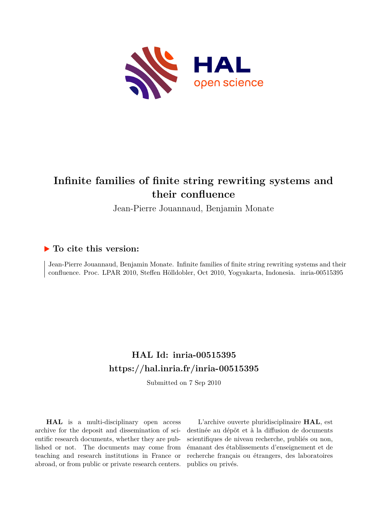

# **Infinite families of finite string rewriting systems and their confluence**

Jean-Pierre Jouannaud, Benjamin Monate

# **To cite this version:**

Jean-Pierre Jouannaud, Benjamin Monate. Infinite families of finite string rewriting systems and their confluence. Proc. LPAR 2010, Steffen Hölldobler, Oct 2010, Yogyakarta, Indonesia. inria-00515395

# **HAL Id: inria-00515395 <https://hal.inria.fr/inria-00515395>**

Submitted on 7 Sep 2010

**HAL** is a multi-disciplinary open access archive for the deposit and dissemination of scientific research documents, whether they are published or not. The documents may come from teaching and research institutions in France or abroad, or from public or private research centers.

L'archive ouverte pluridisciplinaire **HAL**, est destinée au dépôt et à la diffusion de documents scientifiques de niveau recherche, publiés ou non, émanant des établissements d'enseignement et de recherche français ou étrangers, des laboratoires publics ou privés.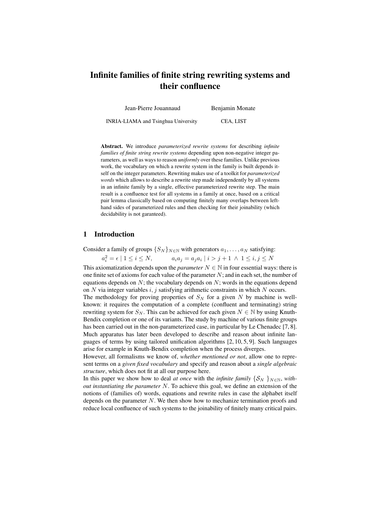# Infinite families of finite string rewriting systems and their confluence

Jean-Pierre Jouannaud Benjamin Monate INRIA-LIAMA and Tsinghua University CEA, LIST

Abstract. We introduce *parameterized rewrite systems* for describing *infinite families of finite string rewrite systems* depending upon non-negative integer parameters, as well as ways to reason *uniformly* over these families. Unlike previous work, the vocabulary on which a rewrite system in the family is built depends itself on the integer parameters. Rewriting makes use of a toolkit for *parameterized words* which allows to describe a rewrite step made independently by all systems in an infinite family by a single, effective parameterized rewrite step. The main result is a confluence test for all systems in a family at once, based on a critical pair lemma classically based on computing finitely many overlaps between lefthand sides of parameterized rules and then checking for their joinability (which decidability is not garanteed).

# 1 Introduction

Consider a family of groups  $\{S_N\}_{N\in\mathbb{N}}$  with generators  $a_1, \ldots, a_N$  satisfying:

 $a_i^2 = \epsilon | 1 \le i \le N,$   $a_i a_j = a_j a_i$  $a_i a_j = a_j a_i \mid i > j + 1 \land 1 \leq i, j \leq N$ 

This axiomatization depends upon the *parameter*  $N \in \mathbb{N}$  in four essential ways: there is one finite set of axioms for each value of the parameter  $N$ ; and in each set, the number of equations depends on  $N$ ; the vocabulary depends on  $N$ ; words in the equations depend on  $N$  via integer variables i, j satisfying arithmetic constraints in which  $N$  occurs.

The methodology for proving properties of  $S_N$  for a given N by machine is wellknown: it requires the computation of a complete (confluent and terminating) string rewriting system for  $S_N$ . This can be achieved for each given  $N \in \mathbb{N}$  by using Knuth-Bendix completion or one of its variants. The study by machine of various finite groups has been carried out in the non-parameterized case, in particular by Le Chenadec [7, 8]. Much apparatus has later been developed to describe and reason about infinite languages of terms by using tailored unification algorithms  $[2, 10, 5, 9]$ . Such languages arise for example in Knuth-Bendix completion when the process diverges.

However, all formalisms we know of, *whether mentioned or not*, allow one to represent terms on a *given fixed vocabulary* and specify and reason about a *single algebraic structure*, which does not fit at all our purpose here.

In this paper we show how to deal *at once* with the *infinite family*  $\{S_N\}_{N\in\mathbb{N}}$ , *without instantiating the parameter* N. To achieve this goal, we define an extension of the notions of (families of) words, equations and rewrite rules in case the alphabet itself depends on the parameter  $N$ . We then show how to mechanize termination proofs and reduce local confluence of such systems to the joinability of finitely many critical pairs.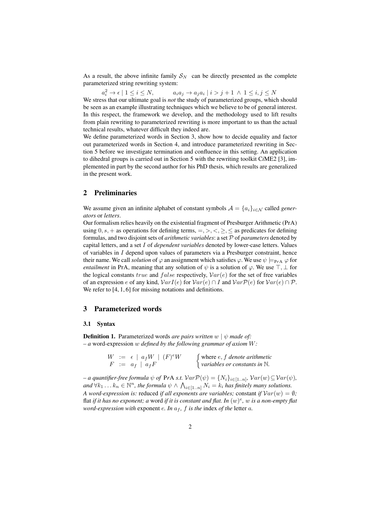As a result, the above infinite family  $S_N$  can be directly presented as the complete parameterized string rewriting system:

 $a_i^2 \to \epsilon \mid 1 \leq i \leq N, \qquad a_i a_j \to a_j a_i$  $a_i a_j \rightarrow a_j a_i \mid i > j+1 \land 1 \leq i, j \leq N$ 

We stress that our ultimate goal is *not* the study of parameterized groups, which should be seen as an example illustrating techniques which we believe to be of general interest. In this respect, the framework we develop, and the methodology used to lift results from plain rewriting to parameterized rewriting is more important to us than the actual technical results, whatever difficult they indeed are.

We define parameterized words in Section 3, show how to decide equality and factor out parameterized words in Section 4, and introduce parameterized rewriting in Section 5 before we investigate termination and confluence in this setting. An application to dihedral groups is carried out in Section 5 with the rewriting toolkit C*i*ME2 [3], implemented in part by the second author for his PhD thesis, which results are generalized in the present work.

# 2 Preliminaries

We assume given an infinite alphabet of constant symbols  $\mathcal{A} = \{a_i\}_{i \in \mathcal{N}}$  called *generators* or *letters*.

Our formalism relies heavily on the existential fragment of Presburger Arithmetic (PrA) using  $0, s, +$  as operations for defining terms,  $=, >, <, \geq, \leq$  as predicates for defining formulas, and two disjoint sets of *arithmetic variables*: a set P of *parameters* denoted by capital letters, and a set I of *dependent variables* denoted by lower-case letters. Values of variables in I depend upon values of parameters via a Presburger constraint, hence their name. We call *solution* of  $\varphi$  an assignment which satisfies  $\varphi$ . We use  $\psi \models_{P \r{A}} \varphi$  for *entailment* in PrA, meaning that any solution of  $\psi$  is a solution of  $\varphi$ . We use  $\top$ ,  $\bot$  for the logical constants true and  $false$  respectively,  $Var(e)$  for the set of free variables of an expression e of any kind,  $VarI(e)$  for  $Var(e) \cap I$  and  $VarP(e)$  for  $Var(e) \cap P$ . We refer to [4, 1, 6] for missing notations and definitions.

#### 3 Parameterized words

#### 3.1 Syntax

**Definition 1.** Parameterized words *are pairs written*  $w \mid \psi$  *made of: – a* word-expression w *defined by the following grammar of axiom* W*:*

|  | $W := \epsilon \mid a_f W \mid (F) e W$ | $\int$ where <i>e</i> , <i>f</i> denote arithmetic |
|--|-----------------------------------------|----------------------------------------------------|
|  | $F := a_f \mid a_f F$                   | $\vert$ variables or constants in $\mathbb N$ .    |

 $\nu = a$  quantifier-free formula  $\psi$  of PrA s.t.  $Var \mathcal{P}(\psi) = \{N_i\}_{i \in [1..n]}, Var(w) \subseteq Var(\psi)$ ,  $and \forall k_1 \ldots k_n \in \mathbb{N}^n$ , the formula  $\psi \wedge \bigwedge_{i \in [1..n]} N_i = k_i$  has finitely many solutions. *A word-expression is:* reduced *if all exponents are variables;* constant *if*  $Var(w) = \emptyset$ ; flat *if it has no exponent; a* word *if it is constant and flat. In* (w) e *,* w *is a non-empty flat word-expression with* exponent *e. In*  $a_f$ , *f is the* index *of the* letter *a*.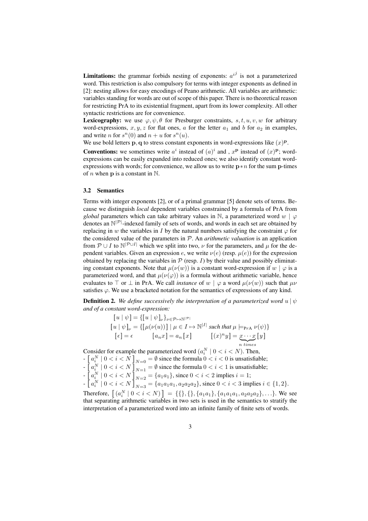**Limitations:** the grammar forbids nesting of exponents:  $a^{i,j}$  is not a parameterized word. This restriction is also compulsory for terms with integer exponents as defined in [2]: nesting allows for easy encodings of Peano arithmetic. All variables are arithmetic: variables standing for words are out of scope of this paper. There is no theoretical reason for restricting PrA to its existential fragment, apart from its lower complexity. All other syntactic restrictions are for convenience.

**Lexicography:** we use  $\varphi, \psi, \theta$  for Presburger constraints, s, t, u, v, w for arbitrary word-expressions,  $x, y, z$  for flat ones, a for the letter  $a_1$  and b for  $a_2$  in examples, and write *n* for  $s^n(0)$  and  $n + u$  for  $s^n(u)$ .

We use bold letters  $\bf{p},\bf{q}$  to stress constant exponents in word-expressions like  $(x)^{\bf p}$ .

**Conventions:** we sometimes write  $a^i$  instead of  $(a)^i$  and,  $x^p$  instead of  $(x)^p$ ; wordexpressions can be easily expanded into reduced ones; we also identify constant wordexpressions with words; for convenience, we allow us to write  $p * n$  for the sum p-times of *n* when **p** is a constant in  $\mathbb{N}$ .

#### 3.2 Semantics

Terms with integer exponents [2], or of a primal grammar [5] denote sets of terms. Because we distinguish *local* dependent variables constrained by a formula of PrA from *global* parameters which can take arbitrary values in N, a parameterized word  $w \mid \varphi$ denotes an  $\mathbb{N}^{|\mathcal{P}|}$ -indexed family of sets of words, and words in each set are obtained by replacing in w the variables in I by the natural numbers satisfying the constraint  $\varphi$  for the considered value of the parameters in P. An *arithmetic valuation* is an application from  $P \cup I$  to  $N^{|P \cup I|}$  which we split into two,  $\nu$  for the parameters, and  $\mu$  for the dependent variables. Given an expression e, we write  $\nu(e)$  (resp.  $\mu(e)$ ) for the expression obtained by replacing the variables in  $P$  (resp. I) by their value and possibly eliminating constant exponents. Note that  $\mu(\nu(w))$  is a constant word-expression if  $w | \varphi$  is a parameterized word, and that  $\mu(\nu(\varphi))$  is a formula without arithmetic variable, hence evaluates to  $\top$  or  $\bot$  in PrA. We call *instance* of w  $\mid \varphi$  a word  $\mu(\nu(w))$  such that  $\mu\nu$ satisfies  $\varphi$ . We use a bracketed notation for the semantics of expressions of any kind.

**Definition 2.** *We define successively the interpretation of a parameterized word*  $u | \psi$ *and of a constant word-expression:*

$$
[u | \psi] = \{ [u | \psi]_{\nu} \}_{\nu \in \mathcal{P} \mapsto \mathbb{N}^{|\mathcal{P}|}}
$$
  
\n
$$
[u | \psi]_{\nu} = \{ [\mu(\nu(u))] | \mu \in I \mapsto \mathbb{N}^{|\mathcal{I}|} \text{ such that } \mu \models_{\text{PrA}} \nu(\psi) \}
$$
  
\n
$$
[\epsilon] = \epsilon \qquad [a_n x] = a_n [x] \qquad [(x)^n y] = \underbrace{x \cdots x}_{n \text{ times}} [y]
$$

Consider for example the parameterized word  $(a_i^N \mid 0 \lt i \lt N)$ . Then,  $-\left[a_i^N\mid 0 < i < N\right]_{N=0} = \emptyset$  since the formula  $0 < i < 0$  is unsatisfiable;  $-\left[a_i^N\mid 0 < i < N\right]_{N=1} = \emptyset$  since the formula  $0 < i < 1$  is unsatisfiable;  $-\left[a_i^N\mid 0 < i < N\right]_{N=2} = \{a_1a_1\}$ , since  $0 < i < 2$  implies  $i = 1$ ;  $-\left[a_i^N \mid 0 < i < N\right]_{N=3} = \left\{a_1a_1a_1, a_2a_2a_2\right\}$ , since  $0 < i < 3$  implies  $i \in \{1, 2\}$ . Therefore,  $[(a_i^N \mid 0 \lt i \lt N)] = \{\{\},\{\},\{a_1a_1\},\{a_1a_1a_1,a_2a_2a_2\},\ldots\}.$  We see that separating arithmetic variables in two sets is used in the semantics to stratify the interpretation of a parameterized word into an infinite family of finite sets of words.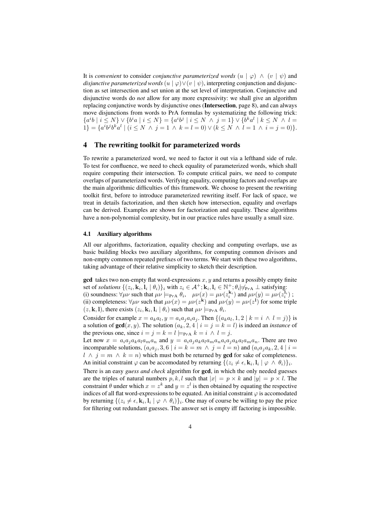It is *convenient* to consider *conjunctive parameterized words*  $(u | \varphi) \wedge (v | \psi)$  and *disjunctive parameterized words*  $(u | \varphi) \vee (v | \psi)$ , interpreting conjunction and disjunction as set intersection and set union at the set level of interpretation. Conjunctive and disjunctive words do *not* allow for any more expressivity: we shall give an algorithm replacing conjunctive words by disjunctive ones (Intersection, page 8), and can always move disjunctions from words to PrA formulas by systematizing the following trick:  ${a^i b \mid i \le N} \vee {b^i a \mid i \le N} = {a^i b^j \mid i \le N \land j = 1} \vee {b^k a^l \mid k \le N \land l =$  $1$ } = { $a^i b^j b^k a^l$  |  $(i \leq N \land j = 1 \land k = l = 0) \lor (k \leq N \land l = 1 \land i = j = 0)$ }.

### 4 The rewriting toolkit for parameterized words

To rewrite a parameterized word, we need to factor it out via a lefthand side of rule. To test for confluence, we need to check equality of parameterized words, which shall require computing their intersection. To compute critical pairs, we need to compute overlaps of parameterized words. Verifying equality, computing factors and overlaps are the main algorithmic difficulties of this framework. We choose to present the rewriting toolkit first, before to introduce parameterized rewriting itself. For lack of space, we treat in details factorization, and then sketch how intersection, equality and overlaps can be derived. Examples are shown for factorization and equality. These algorithms have a non-polynomial complexity, but in our practice rules have usually a small size.

#### 4.1 Auxiliary algorithms

All our algorithms, factorization, equality checking and computing overlaps, use as basic building blocks two auxiliary algorithms, for computing common divisors and non-empty common repeated prefixes of two terms. We start with these two algorithms, taking advantage of their relative simplicity to sketch their description.

**gcd** takes two non-empty flat word-expressions  $x, y$  and returns a possibly empty finite set of *solutions*  $\{(z_i, \mathbf{k}_i, \mathbf{l}_i \mid \theta_i)\}_i$  with  $z_i \in \mathcal{A}^+; \mathbf{k}_i, \mathbf{l}_i \in \mathbb{N}^+; \theta_i \neq_{\text{PA}} \bot$  satisfying: (i) soundness:  $\forall \mu \nu$  such that  $\mu \nu \models_{PrA} \theta_i$ ,  $\mu \nu(x) = \mu \nu(z_i^{k_i})$  and  $\mu \nu(y) = \mu \nu(z_i^{l_i})$ ; (ii) completeness:  $\forall \mu \nu$  such that  $\mu \nu(x) = \mu \nu(z^k)$  and  $\mu \nu(y) = \mu \nu(z^l)$  for some triple

Consider for example  $x = a_k a_l, y = a_i a_j a_i a_j$ . Then  $\{(a_k a_l, 1, 2 \mid k = i \land l = j)\}$  is a solution of  $gcd(x, y)$ . The solution  $(a_k, 2, 4 | i = j = k = l)$  is indeed an *instance* of the previous one, since  $i = j = k = l \models_{P \r{A}} k = i \wedge l = j$ .

 $(z, \mathbf{k}, \mathbf{l})$ , there exists  $(z_i, \mathbf{k}_i, \mathbf{l}_i | \theta_i)$  such that  $\mu \nu \models_{\text{PrA}} \theta_i$ .

Let now  $x = a_i a_j a_k a_l a_m a_n$  and  $y = a_i a_j a_k a_l a_m a_n a_i a_j a_k a_l a_m a_n$ . There are two incomparable solutions,  $(a_i a_j, 3, 6 \mid i = k = m \land j = l = n)$  and  $(a_i a_j a_k, 2, 4 \mid i =$  $l \wedge j = m \wedge k = n$ ) which must both be returned by **gcd** for sake of completeness. An initial constraint  $\varphi$  can be accomodated by returning  $\{(z_i \neq \epsilon, \mathbf{k}_i, \mathbf{l}_i \mid \varphi \land \theta_i)\}_i$ .

There is an easy *guess and check* algorithm for gcd, in which the only needed guesses are the triples of natural numbers p, k, l such that  $|x| = p \times k$  and  $|y| = p \times l$ . The constraint  $\theta$  under which  $x = z^k$  and  $y = z^l$  is then obtained by equating the respective indices of all flat word-expressions to be equated. An initial constraint  $\varphi$  is accomodated by returning  $\{(z_i \neq \epsilon, \mathbf{k}_i, \mathbf{l}_i \mid \varphi \wedge \theta_i)\}_i$ . One may of course be willing to pay the price for filtering out redundant guesses. The answer set is empty iff factoring is impossible.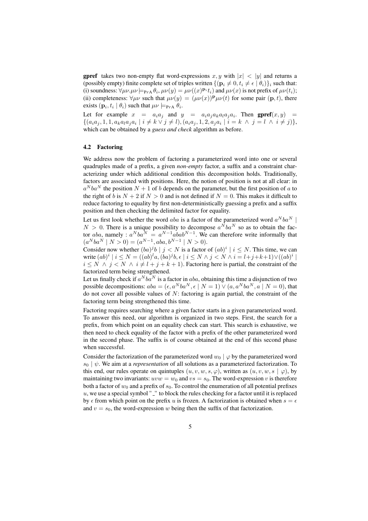**gpref** takes two non-empty flat word-expressions x, y with  $|x| < |y|$  and returns a (possibly empty) finite complete set of triples written  $\{(\mathbf{p}_i \neq 0, t_i \neq \epsilon | \theta_i)\}_i$  such that: (i) soundness:  $\forall \mu \nu \mu \nu \models_{\text{PrA}} \theta_i, \mu \nu(y) = \mu \nu((x)^{\mathbf{p}_i} t_i)$  and  $\mu \nu(x)$  is not prefix of  $\mu \nu(t_i)$ ; (ii) completeness:  $\forall \mu \nu$  such that  $\mu \nu(y) = (\mu \nu(x))^{\mathbf{p}} \mu \nu(t)$  for some pair  $(\mathbf{p}, t)$ , there exists  $(\mathbf{p}_i, t_i | \theta_i)$  such that  $\mu \nu \models_{\text{PrA}} \theta_i$ .

Let for example  $x = a_i a_j$  and  $y = a_i a_j a_k a_l a_j a_i$ . Then **gpref** $(x, y)$  =  $\{(a_i a_j, 1, 1, a_k a_l a_j a_i \mid i \neq k \vee j \neq l), (a_i a_j, 1, 2, a_j a_i \mid i = k \wedge j = l \wedge i \neq j)\},\$ which can be obtained by a *guess and check* algorithm as before.

#### 4.2 Factoring

We address now the problem of factoring a parameterized word into one or several quadruples made of a prefix, a given *non-empty* factor, a suffix and a constraint characterizing under which additional condition this decomposition holds. Traditionally, factors are associated with positions. Here, the notion of position is not at all clear: in  $a^Nba^N$  the position  $N + 1$  of b depends on the parameter, but the first position of a to the right of b is  $N + 2$  if  $N > 0$  and is not defined if  $N = 0$ . This makes it difficult to reduce factoring to equality by first non-deterministically guessing a prefix and a suffix position and then checking the delimited factor for equality.

Let us first look whether the word aba is a factor of the parameterized word  $a^Nba^N$  |  $N > 0$ . There is a unique possibility to decompose  $a^Nba^N$  so as to obtain the factor *aba*, namely :  $a^Nba^N = a^{N-1}aba b^{N-1}$ . We can therefore write informally that  $(a^Nba^N \mid N > 0) = (a^{N-1}, aba, b^{N-1} \mid N > 0).$ 

Consider now whether  $(ba)^{j}b \mid j < N$  is a factor of  $(ab)^{i} \mid i \leq N$ . This time, we can write  $(ab)^i \mid i \le N = ((ab)^l a, (ba)^j b, \epsilon \mid i \le N \wedge j < N \wedge i = l+j+k+1) \vee ((ab)^i \mid i \le N$  $i \leq N \land j < N \land i \neq l + j + k + 1$ ). Factoring here is partial, the constraint of the factorized term being strengthened.

Let us finally check if  $a^Nba^N$  is a factor in  $aba$ , obtaining this time a disjunction of two possible decompositions:  $aba = (\epsilon, a^Nba^N, \epsilon \mid N = 1) \vee (a, a^Nba^N, a \mid N = 0)$ , that do not cover all possible values of  $N$ : factoring is again partial, the constraint of the factoring term being strengthened this time.

Factoring requires searching where a given factor starts in a given parameterized word. To answer this need, our algorithm is organized in two steps. First, the search for a prefix, from which point on an equality check can start. This search is exhaustive, we then need to check equality of the factor with a prefix of the other parameterized word in the second phase. The suffix is of course obtained at the end of this second phase when successful.

Consider the factorization of the parameterized word  $w_0 | \varphi$  by the parameterized word  $s_0$  |  $\psi$ . We aim at a *representation* of all solutions as a parameterized factorization. To this end, our rules operate on quintuples  $(u, v, w, s, \varphi)$ , written as  $(u, v, w, s | \varphi)$ , by maintaining two invariants:  $uvw = w_0$  and  $vs = s_0$ . The word-expression v is therefore both a factor of  $w_0$  and a prefix of  $s_0$ . To control the enumeration of all potential prefixes  $u$ , we use a special symbol " $\cdot$ " to block the rules checking for a factor until it is replaced by  $\epsilon$  from which point on the prefix u is frozen. A factorization is obtained when  $s = \epsilon$ and  $v = s_0$ , the word-expression w being then the suffix of that factorization.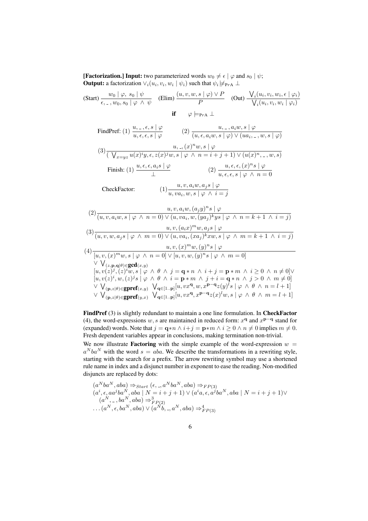**[Factorization.] Input:** two parameterized words  $w_0 \neq \epsilon \mid \varphi$  and  $s_0 \mid \psi$ ; **Output:** a factorization  $\vee_i (u_i, v_i, w_i | \psi_i)$  such that  $\psi_i \neq_{\text{PrA}} \bot$ 

$$
\begin{array}{ccc}\n\text{(Start)} \ \frac{w_0 \mid \varphi, \ s_0 \mid \psi}{\epsilon, \_, w_0, s_0 \mid \varphi \ \land \ \psi} & \text{(Elim)} \ \frac{(u, v, w, s \mid \varphi) \lor P}{P} & \text{(Out)} \ \frac{\bigvee_i (u_i, v_i, w_i, \epsilon \mid \varphi_i)}{\bigvee_i (u_i, v_i, w_i \mid \varphi_i)} \\
\text{if} & \varphi \models_{\text{Pra}} \bot\n\end{array}
$$

FindPref: (1) 
$$
\frac{u, -, \epsilon, s | \varphi}{u, \epsilon, \epsilon, s | \varphi}
$$
 (2)  $\frac{u, -, a_i w, s | \varphi}{(u, \epsilon, a_i w, s | \varphi) \vee (ua_{i}, -, w, s | \varphi)}$   
\n(3)  $\frac{u, -, (x)^n w, s | \varphi}{(\sqrt{x - \mu})^2 u(x)^2 y, \epsilon, z(x)^2 w, s | \varphi \wedge n = i + j + 1) \vee (u(x)^n, -, w, s)}$   
\nFinally: (1)  $\frac{u, \epsilon, \epsilon, a_i s | \varphi}{\bot}$  (2)  $\frac{u, \epsilon, \epsilon, (x)^n s | \varphi}{u, \epsilon, \epsilon, s | \varphi \wedge n = 0}$   
\nCheckFactor: (1)  $\frac{u, v, a_i w, a_j s | \varphi}{u, v a_i, w, s | \varphi \wedge i = j}$ 

$$
(2) \frac{u, v, a_i w, (a_j y)^n s \mid \varphi}{(u, v, a_i w, s \mid \varphi \land n = 0) \lor (u, v a_i, w, (y a_j)^k y s \mid \varphi \land n = k + 1 \land i = j)}
$$
\n
$$
(3) \frac{u, v, (a_i x)^m w, a_j s \mid \varphi}{(u, v, w, a_j s \mid \varphi \land m = 0) \lor (u, v a_i, (x a_j)^k x w, s \mid \varphi \land m = k + 1 \land i = j)}
$$
\n
$$
(4) \frac{u, v, (x)^m w, (y)^n s \mid \varphi}{[u, v, (x)^m w, s \mid \varphi \land n = 0] \lor [u, v, w, (y)^n s \mid \varphi \land m = 0]}
$$
\n
$$
\frac{\lor \bigvee_{(z, \mathbf{p}, \mathbf{q} | \theta) \in \mathbf{gcd}(x, y)} [u, v(z)^j, (z)^i w, s \mid \varphi \land \theta \land j = \mathbf{q} * n \land i + j = \mathbf{p} * m \land i \ge 0 \land n \ne 0] \lor [u, v(z)^i, w, (z)^j s \mid \varphi \land \theta \land i = \mathbf{p} * m \land j + i = \mathbf{q} * n \land j > 0 \land m \ne 0]
$$
\n
$$
\frac{\lor \bigvee_{(\mathbf{p}, z | \theta) \in \mathbf{gpref}(x, y)} \bigvee_{\mathbf{q} \in [1 \cdot \mathbf{p}]} [u, v x^{\mathbf{q}}, w, x^{\mathbf{p} - \mathbf{q}} z(y)^l s \mid \varphi \land \theta \land n = l + 1]}{\lor \bigvee_{(\mathbf{p}, z | \theta) \in \mathbf{gpref}(y, x)} \bigvee_{\mathbf{q} \in [1 \cdot \mathbf{p}]} [u, v x^{\mathbf{q}}, x^{\mathbf{p} - \mathbf{q}} z(x)^l w, s \mid \varphi \land \theta \land m = l + 1]}
$$

FindPref (3) is slightly redundant to maintain a one line formulation. In CheckFactor (4), the word-expressions  $w, s$  are maintained in reduced form:  $x^q$  and  $x^{p-q}$  stand for (expanded) words. Note that  $j = \mathbf{q} * n \wedge i + j = \mathbf{p} * m \wedge i \geq 0 \wedge n \neq 0$  implies  $m \neq 0$ . Fresh dependent variables appear in conclusions, making termination non-trivial.

We now illustrate **Factoring** with the simple example of the word-expression  $w =$  $a^Nba^N$  with the word  $s = aba$ . We describe the transformations in a rewriting style, starting with the search for a prefix. The arrow rewriting symbol may use a shortened rule name in index and a disjunct number in exponent to ease the reading. Non-modified disjuncts are replaced by dots:

$$
(a^Nba^N, aba) \Rightarrow_{Start} (\epsilon, \_, a^Nba^N, aba) \Rightarrow_{FP(3)}
$$
  
\n
$$
(a^i, \epsilon, aa^jba^N, aba \mid N = i + j + 1) \lor (a^ia, \epsilon, a^jba^N, aba \mid N = i + j + 1) \lor
$$
  
\n
$$
(a^N, \_, ba^N, aba) \Rightarrow_{FP(2)}^3
$$
  
\n
$$
\dots (a^N, \epsilon, ba^N, aba) \lor (a^Nb, \_, a^N, aba) \Rightarrow_{FP(3)}^4
$$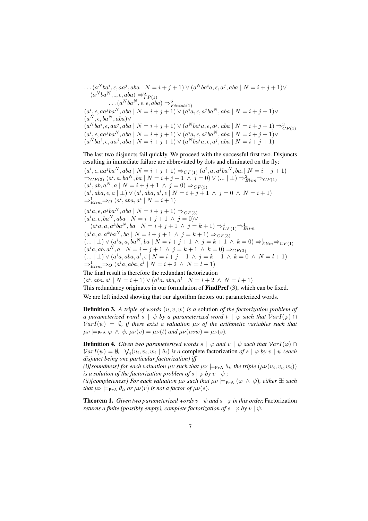$\ldots (a^Nba^i,\epsilon,aa^j,aba\mid N=i+j+1)\vee (a^Nba^ia,\epsilon,a^j,aba\mid N=i+j+1)\vee$  $(a^Nba^N, -, \epsilon, aba) \Rightarrow^6_{FP(1)}$ <br>
... $(a^Nba^N, \epsilon, \epsilon, aba) \Rightarrow^6_{Finish(1)}$ <br>  $(a^i, \epsilon, aa^jba^N, aba \mid N = i + j + 1) \lor (a^ia, \epsilon, a^jba^N, aba \mid N = i + j + 1) \lor$  $(a^N, \epsilon, ba^N, aba) \vee$  $(a^Nba^i, \epsilon, aa^j, aba \mid N = i + j + 1) \vee (a^Nba^ia, \epsilon, a^j, aba \mid N = i + j + 1) \Rightarrow^3_{CF(1)}$  $(a^i, \epsilon, aa^jba^N, aba \mid N = i + j + 1) \vee (a^ia, \epsilon, a^jba^N, aba \mid N = i + j + 1) \vee$  $(a^Nba^i, \epsilon, aa^j, aba \mid N = i + j + 1) \vee (a^Nba^ia, \epsilon, a^j, aba \mid N = i + j + 1)$ 

The last two disjuncts fail quickly. We proceed with the successful first two. Disjuncts resulting in immediate failure are abbreviated by dots and eliminated on the fly:

 $(a^i, \epsilon, aa^jba^N, aba \mid N = i + j + 1) \Rightarrow_{CF(1)} (a^i, a, a^jba^N, ba, \mid N = i + j + 1)$  $\Rightarrow_{CF(3)} (a^i, a, ba^N, ba \mid N = i + j + 1 \land j = 0) \vee (\dots \mid \bot) \Rightarrow_{Elim}^2 \Rightarrow_{CF(1)}$  $(a^i, ab, a^N, a \mid N = i + j + 1 \land j = 0) \Rightarrow_{CF(3)}$  $(a^i, aba, \epsilon, a \mid \bot) \vee (a^i, aba, a^i, \epsilon \mid N = i + j + 1 \land j = 0 \land N = i + 1)$  $\Rightarrow_{Elim}^{1}\Rightarrow O(a^{i}, aba, a^{i} | N = i + 1)$ 

 $(a^i a, \epsilon, a^j ba^N, aba \mid N = i + j + 1) \Rightarrow_{CF(3)}$  $(a^i a, \epsilon, ba^N, aba \mid N = i + j + 1 \land j = 0) \lor$  $(a^i a, a, a^k b a^N, ba \mid N = i + j + 1 \land j = k + 1) \Rightarrow_{CF(1)}^1 \Rightarrow_{Elim}^1$ 

 $(a^i a, a, a^k b a^N, ba \mid N = i + j + 1 \land j = k + 1) \Rightarrow_{CF(3)}$  $(\dots | \perp) \vee (a^i a, a, ba^N, ba \mid N = i + j + 1 \land j = k + 1 \land k = 0) \Rightarrow_{Elim}^{1} \Rightarrow_{CF(1)}$  $(a^i a, ab, a^N, a \mid N = i + j + 1 \land j = k + 1 \land k = 0) \Rightarrow_{CF(3)}$  $(\dots | \perp) \vee (a^i a, aba, a^l, \epsilon | N = i + j + 1 \land j = k + 1 \land k = 0 \land N = l + 1)$  $\Rightarrow_{Elim}^1 \Rightarrow o \ (a^i a, aba, a^l \mid N = i + 2 \land N = l + 1)$ 

The final result is therefore the redundant factorization

 $(a^i, aba, a^i | N = i + 1) \vee (a^ia, aba, a^l | N = i + 2 \wedge N = l + 1)$ 

This redundancy originates in our formulation of **FindPref** (3), which can be fixed.

We are left indeed showing that our algorithm factors out parameterized words.

Definition 3. *A triple of words* (u, v, w) *is a* solution *of the factorization problem of a parameterized word*  $s \mid \psi$  *by a parameterized word*  $t \mid \varphi$  *such that*  $VarI(\varphi) \cap$  $VarI(\psi) = \emptyset$ , if there exist a valuation  $\mu\nu$  of the arithmetic variables such that  $\mu\nu \models_{\text{PrA}} \varphi \land \psi$ ,  $\mu\nu(v) = \mu\nu(t)$  and  $\mu\nu(uvw) = \mu\nu(s)$ .

**Definition 4.** *Given two parameterized words*  $s | \varphi$  *and*  $v | \psi$  *such that*  $VarI(\varphi) \cap$  $VarI(\psi) = \emptyset$ ,  $\bigvee_i (u_i, v_i, w_i \mid \theta_i)$  *is a* complete factorization *of*  $s \mid \varphi$  *by*  $v \mid \psi$  (each *disjunct being one particular factorization) iff*

(i)[soundness] for each valuation  $\mu\nu$  such that  $\mu\nu \models_{\text{PrA}} \theta_i$ , the triple  $(\mu\nu(u_i, v_i, w_i))$ *is a solution of the factorization problem of*  $s | \varphi$  *by*  $v | \psi$ ;

*(ii)[completeness] For each valuation*  $\mu\nu$  *such that*  $\mu\nu \models_{\text{PrA}} (\varphi \land \psi)$ *, either*  $\exists i$  *such that*  $\mu\nu \models_{\text{PrA}} \theta_i$ *, or*  $\mu\nu(v)$  *is not a factor of*  $\mu\nu(s)$ *.* 

**Theorem 1.** *Given two parameterized words*  $v \mid \psi$  *and*  $s \mid \varphi$  *in this order,* Factorization *returns a finite (possibly empty), complete factorization of*  $s | \varphi$  *by*  $v | \psi$ .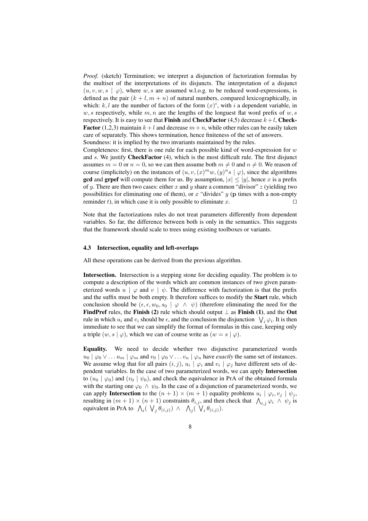*Proof.* (sketch) Termination; we interpret a disjunction of factorization formulas by the multiset of the interpretations of its disjuncts. The interpretation of a disjunct  $(u, v, w, s \mid \varphi)$ , where w, s are assumed w.l.o.g. to be reduced word-expressions, is defined as the pair  $(k + l, m + n)$  of natural numbers, compared lexicographically, in which: k, l are the number of factors of the form  $(x)^i$ , with i a dependent variable, in w, s respectively, while m, n are the lengths of the longuest flat word prefix of w, s respectively. It is easy to see that Finish and CheckFactor (4,5) decrease  $k+l$ , Check-**Factor** (1,2,3) maintain  $k+l$  and decrease  $m+n$ , while other rules can be easily taken care of separately. This shows termination, hence finiteness of the set of answers. Soundness: it is implied by the two invariants maintained by the rules.

Completeness: first, there is one rule for each possible kind of word-expression for  $w$ and s. We justify **CheckFactor** (4), which is the most difficult rule. The first disjunct assumes  $m = 0$  or  $n = 0$ , so we can then assume both  $m \neq 0$  and  $n \neq 0$ . We reason of course (implicitely) on the instances of  $(u, v, (x)^{m}w, (y)^{n}s | \varphi)$ , since the algorithms **gcd** and **grpef** will compute them for us. By assumption,  $|x| \le |y|$ , hence x is a prefix of y. There are then two cases: either x and y share a common "divisor"  $z$  (yielding two possibilities for eliminating one of them), or x "divides"  $y$  (p times with a non-empty reminder t), in which case it is only possible to eliminate x.  $□$ 

Note that the factorizations rules do not treat parameters differently from dependent variables. So far, the difference between both is only in the semantics. This suggests that the framework should scale to trees using existing toolboxes or variants.

#### 4.3 Intersection, equality and left-overlaps

All these operations can be derived from the previous algorithm.

Intersection. Intersection is a stepping stone for deciding equality. The problem is to compute a description of the words which are common instances of two given parameterized words  $u \mid \varphi$  and  $v \mid \psi$ . The difference with factorization is that the prefix and the suffix must be both empty. It therefore suffices to modify the Start rule, which conclusion should be  $(\epsilon, \epsilon, w_0, s_0 \mid \varphi \wedge \psi)$  (therefore eliminating the need for the FindPref rules, the Finish (2) rule which should output  $\perp$  as Finish (1), and the Out rule in which  $u_i$  and  $v_i$  should be  $\epsilon$ , and the conclusion the disjunction  $\bigvee_i \varphi_i$ . It is then immediate to see that we can simplify the format of formulas in this case, keeping only a triple  $(w, s | \varphi)$ , which we can of course write as  $(w = s | \varphi)$ .

Equality. We need to decide whether two disjunctive parameterized words  $u_0 | \varphi_0 \vee \ldots u_m | \varphi_m$  and  $v_0 | \varphi_0 \vee \ldots v_n | \varphi_n$  have *exactly* the same set of instances. We assume wlog that for all pairs  $(i, j)$ ,  $u_i | \varphi_i$  and  $v_i | \varphi_j$  have different sets of dependent variables. In the case of two parameterized words, we can apply Intersection to  $(u_0 | \varphi_0)$  and  $(v_0 | \psi_0)$ , and check the equivalence in PrA of the obtained formula with the starting one  $\varphi_0 \wedge \psi_0$ . In the case of a disjunction of parameterized words, we can apply **Intersection** to the  $(n + 1) \times (m + 1)$  equality problems  $u_i | \varphi_i, v_j | \psi_j$ , resulting in  $(m + 1) \times (n + 1)$  constraints  $\theta_{i,j}$ , and then check that  $\bigwedge_{i,j} \varphi_i \wedge \psi_j$  is equivalent in PrA to  $\int_{\mathcal{U}} (\bigvee_j \theta_{(i,j)}) \wedge \bigwedge_j (\bigvee_i \theta_{(i,j)})$ .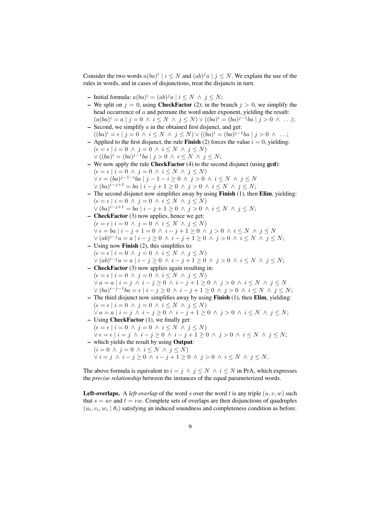Consider the two words  $a(ba)^{i} | i \leq N$  and  $(ab)^{j}a | j \leq N$ . We explain the use of the rules in words, and in cases of disjunctions, treat the disjuncts in turn.

- Initial formula:  $a(ba)^i = (ab)^j a \mid i \le N \land j \le N$ ;
- We split on  $j = 0$ , using **CheckFactor** (2); in the branch  $j > 0$ , we simplify the head occurrence of a and permute the word under exponent, yielding the result:  $(a(ba)^i = a | j = 0 \land i \leq N \land j \leq N) \lor ((ba)^i = (ba)^{j-1}ba | j > 0 \land ...);$
- $-$  Second, we simplify  $\alpha$  in the obtained first disjunct, and get:  $((ba)^i = \epsilon | j = 0 \land i \le N \land j \le N) \lor ((ba)^i = (ba)^{j-1}ba | j > 0 \land ...;$
- Applied to the first disjunct, the rule **Finish** (2) forces the value  $i = 0$ , yielding:  $(\epsilon = \epsilon \mid i = 0 \land j = 0 \land i \leq N \land j \leq N)$  $\vee ((ba)^i = (ba)^{j-1}ba \mid j > 0 \land i \leq N \land j \leq N;$
- We now apply the rule CheckFactor (4) to the second disjunct (using gcd):  $(\epsilon = \epsilon \mid i = 0 \land j = 0 \land i \leq N \land j \leq N)$  $\vee \epsilon = (ba)^{j-1-i}ba \mid j-1-i \geq 0 \land j > 0 \land i \leq N \land j \leq N$  $\vee (ba)^{i-j+1} = ba | i - j + 1 \ge 0 \land j > 0 \land i \le N \land j \le N;$
- The second disjunct now simplifies away by using **Finish**  $(1)$ , then **Elim**, yielding:  $(\epsilon = \epsilon \mid i = 0 \land j = 0 \land i \leq N \land j \leq N)$ 
	- $\vee (ba)^{i-j+1} = ba | i j + 1 \ge 0 \land j > 0 \land i \le N \land j \le N;$
- CheckFactor (3) now applies, hence we get:  $(\epsilon = \epsilon \mid i = 0 \land j = 0 \land i \leq N \land j \leq N)$  $\vee \epsilon = ba \mid i - j + 1 = 0 \land i - j + 1 \ge 0 \land j > 0 \land i \le N \land j \le N$  $\vee (ab)^{i-j}a = a | i - j \geq 0 \land i - j + 1 \geq 0 \land j > 0 \land i \leq N \land j \leq N;$
- Using now Finish (2), this simplifies to:  $(\epsilon = \epsilon \mid i = 0 \land j = 0 \land i \leq N \land j \leq N)$  $\vee (ab)^{i-j}a = a | i - j \geq 0 \land i - j + 1 \geq 0 \land j > 0 \land i \leq N \land j \leq N;$
- CheckFactor (3) now applies again resulting in:  $(\epsilon = \epsilon \mid i = 0 \land j = 0 \land i \leq N \land j \leq N)$  $\forall a = a \mid i = j \land i - j \geq 0 \land i - j + 1 \geq 0 \land j > 0 \land i \leq N \land j \leq N$  $\vee (ba)^{i-j-1}ba = \epsilon \mid i-j \geq 0 \land i-j+1 \geq 0 \land j > 0 \land i \leq N \land j \leq N;$
- The third disjunct now simplifies away by using Finish (1), then Elim, yielding:  $(\epsilon = \epsilon \mid i = 0 \land j = 0 \land i \leq N \land j \leq N)$  $\forall a = a \mid i = j \land i - j \geq 0 \land i - j + 1 \geq 0 \land j > 0 \land i \leq N \land j \leq N;$
- Using CheckFactor (1), we finally get:  $(\epsilon = \epsilon \mid i = 0 \land j = 0 \land i \leq N \land j \leq N)$
- $\forall \epsilon = \epsilon \mid i = j \land i j \geq 0 \land i j + 1 \geq 0 \land j > 0 \land i \leq N \land j \leq N;$ – which yields the result by using Output:
	- $(i = 0 \land j = 0 \land i \leq N \land j \leq N)$  $\forall i = j \land i - j \geq 0 \land i - j + 1 \geq 0 \land j > 0 \land i \leq N \land j \leq N.$

The above formula is equivalent to  $i = j \land j \leq N \land i \leq N$  in PrA, which expresses the *precise relationship* between the instances of the equal parameterized words.

**Left-overlaps.** A *left-overlap* of the word s over the word t is any triple  $(u, v, w)$  such that  $s = uv$  and  $t = vw$ . Complete sets of overlaps are then disjunctions of quadruples  $(u_i, v_i, w_i \mid \theta_i)$  satisfying an induced soundness and completeness condition as before.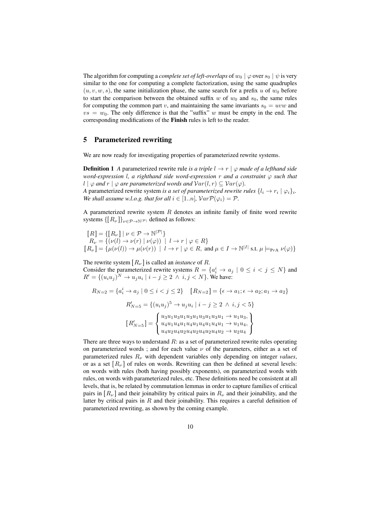The algorithm for computing a *complete set of left-overlaps* of  $w_0 | \varphi$  over  $s_0 | \psi$  is very similar to the one for computing a complete factorization, using the same quadruples  $(u, v, w, s)$ , the same initialization phase, the same search for a prefix u of  $w_0$  before to start the comparison between the obtained suffix w of  $w_0$  and  $s_0$ , the same rules for computing the common part v, and maintaining the same invariants  $s_0 = uvw$  and  $vs = w<sub>0</sub>$ . The only difference is that the "suffix" w must be empty in the end. The corresponding modifications of the Finish rules is left to the reader.

## 5 Parameterized rewriting

We are now ready for investigating properties of parameterized rewrite systems.

**Definition 1** *A* parameterized rewrite rule *is a triple*  $l \rightarrow r \mid \varphi$  *made of a lefthand side word-expression* l*, a righthand side word-expression* r *and a constraint* ϕ *such that* l  $| \varphi$  *and*  $r | \varphi$  *are parameterized words and*  $Var(l, r) \subseteq Var(\varphi)$ *.* 

*A* parameterized rewrite system *is a set of parameterized rewrite rules*  $\{l_i \rightarrow r_i \mid \varphi_i\}_i$ . *We shall assume w.l.o.g. that for all*  $i \in [1..n]$ *,*  $Var\mathcal{P}(\varphi_i) = \mathcal{P}$ *.* 

A parameterized rewrite system  $R$  denotes an infinite family of finite word rewrite systems  $\{ [R_{\nu}] \}_{\nu \in \mathcal{P} \to \mathbb{N}^{|\mathcal{P}|}}$  defined as follows:

 $[R] = \{ [R_{\nu}] \mid \nu \in \mathcal{P} \rightarrow \mathbb{N}^{|\mathcal{P}|} \}$  $R_{\nu} = \{(\nu(l) \to \nu(r) \mid \nu(\varphi)) \mid l \to r \mid \varphi \in R\}$  $[R_{\nu}] = {\mu(\nu(l)) \rightarrow \mu(\nu(r)) \, | \, l \rightarrow r \, | \, \varphi \in R, \text{ and } \mu \in I \rightarrow \mathbb{N}^{|I|} \text{ s.t. } \mu \models_{\text{PrA}} \nu(\varphi)}$ 

The rewrite system  $[R_{\nu}]$  is called an *instance* of R. Consider the parameterized rewrite systems  $R = \{a_i^i \rightarrow a_j \mid 0 \le i < j \le N\}$  and  $R' = \{(u_iu_j)^N \rightarrow u_ju_i \mid i - j \geq 2 \land i, j < N\}$ . We have:

$$
R_{N=2} = \{a_i^i \to a_j \mid 0 \le i < j \le 2\} \quad [R_{N=2}] = \{e \to a_1; e \to a_2; a_1 \to a_2\}
$$
\n
$$
R'_{N=5} = \{(u_i u_j)^5 \to u_j u_i \mid i - j \ge 2 \land i, j < 5\}
$$
\n
$$
[R'_{N=5}] = \begin{cases} u_3 u_1 u_3 u_1 u_3 u_1 u_3 u_1 \to u_1 u_3, \\ u_4 u_1 u_4 u_1 u_4 u_1 u_4 u_1 \to u_1 u_4, \\ u_4 u_2 u_4 u_2 u_4 u_2 u_4 u_2 u_4 u_2 \to u_2 u_4 \end{cases}
$$

There are three ways to understand  $R$ : as a set of parameterized rewrite rules operating on parameterized words ; and for each value  $\nu$  of the parameters, either as a set of parameterized rules  $R_{\nu}$  with dependent variables only depending on integer *values*, or as a set  $[R_{\nu}]$  of rules on words. Rewriting can then be defined at several levels: on words with rules (both having possibly exponents), on parameterized words with rules, on words with parameterized rules, etc. These definitions need be consistent at all levels, that is, be related by commutation lemmas in order to capture families of critical pairs in  $[R_{\nu}]$  and their joinability by critical pairs in  $R_{\nu}$  and their joinability, and the latter by critical pairs in  $R$  and their joinability. This requires a careful definition of parameterized rewriting, as shown by the coming example.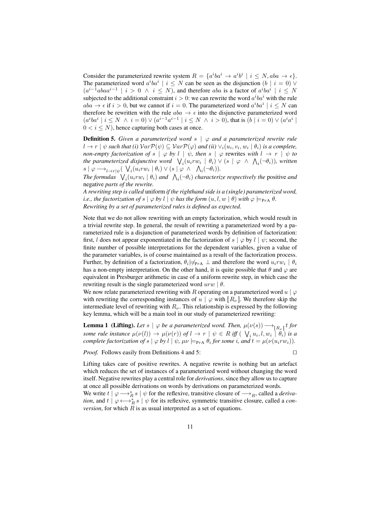Consider the parameterized rewrite system  $R = \{a^iba^i \rightarrow a^ib^i \mid i \leq N, aba \rightarrow \epsilon\}.$ The parameterized word  $a^iba^i \mid i \leq N$  can be seen as the disjunction  $(b \mid i = 0)$   $\vee$  $(a^{i-1}abaa^{i-1} \mid i > 0 \land i \leq N)$ , and therefore aba is a factor of  $a^iba^i \mid i \leq N$ subjected to the additional constraint  $i > 0$ : we can rewrite the word  $a^i b a^i$  with the rule  $aba \rightarrow \epsilon$  if  $i > 0$ , but we cannot if  $i = 0$ . The parameterized word  $a^i ba^i \mid i \leq N$  can therefore be rewritten with the rule  $aba \rightarrow \epsilon$  into the disjunctive parameterized word  $(a^iba^i \mid i \leq N \ \land \ i = 0) \vee (a^{i-1}a^{i-1} \mid i \leq N \ \land \ i > 0)$ , that is  $(b \mid i = 0) \vee (a^ia^i \mid i \leq N \ \land \ i > 0)$  $0 < i < N$ ), hence capturing both cases at once.

**Definition 5.** Given a parameterized word  $s \mid \varphi$  and a parameterized rewrite rule  $l \to r \mid \psi$  such that (i)  $Var \mathcal{P}(\psi) \subseteq Var \mathcal{P}(\varphi)$  and (ii)  $\vee_i (u_i, v_i, w_i \mid \theta_i)$  is a complete, *non-empty factorization of*  $s | \varphi$  *by*  $l | \psi$ *, then*  $s | \varphi$  rewrites *with*  $l \rightarrow r | \psi$  *to* the parameterized disjunctive word  $\bigvee_i(u_irw_i \mid \theta_i) \vee (s \mid \varphi \ \wedge \ \bigwedge_i(\neg \theta_i)),$  written  $s | \varphi \longrightarrow_{l \to r | \psi} (\bigvee_i (u_i r w_i | \theta_i) \vee (s | \varphi \wedge \bigwedge_i (\neg \theta_i)).$ 

The formulas  $\bigvee_i (u_i r w_i \mid \theta_i)$  and  $\bigwedge_i (\neg \theta_i)$  characterize respectively the positive and negative *parts of the rewrite.*

*A rewriting step is called* uniform *if the righthand side is a (single) parameterized word, i.e., the factorization of*  $s | \varphi$  *by*  $l | \psi$  *has the form*  $(u, l, w | \theta)$  *with*  $\varphi \models_{\text{PrA}} \theta$ *. Rewriting by a set of parameterized rules is defined as expected.*

Note that we do not allow rewriting with an empty factorization, which would result in a trivial rewrite step. In general, the result of rewriting a parameterized word by a parameterized rule is a disjunction of parameterized words by definition of factorization: first, l does not appear exponentiated in the factorization of s  $\varphi$  by  $l \varphi$ ; second, the finite number of possible interpretations for the dependent variables, given a value of the parameter variables, is of course maintained as a result of the factorization process. Further, by definition of a factorization,  $\theta_i \not\models_{\text{PrA}} \bot$  and therefore the word  $u_i r w_i \mid \theta_i$ has a non-empty interpretation. On the other hand, it is quite possible that  $\theta$  and  $\varphi$  are equivalent in Presburger arithmetic in case of a uniform rewrite step, in which case the rewriting result is the single parameterized word  $urw | \theta$ .

We now relate parameterized rewriting with R operating on a parameterized word  $u | \varphi$ with rewriting the corresponding instances of  $u | \varphi$  with  $[R_{\nu}]$ . We therefore skip the intermediate level of rewriting with  $R_{\nu}$ . This relationship is expressed by the following key lemma, which will be a main tool in our study of parameterized rewriting:

**Lemma 1** (Lifting). Let  $s | \varphi$  be a parameterized word. Then,  $\mu(\nu(s)) \longrightarrow_{[R_{\nu}]} t$  for *some rule instance*  $\mu(\nu(l)) \to \mu(\nu(r))$  *of*  $l \to r \mid \psi \in R$  *iff* (  $\bigvee_i u_i, l, w_i \mid \theta_i$ ) *is a complete factorization of*  $s \mid \varphi$  *by*  $l \mid \psi$ *,*  $\mu\nu \models_{\text{PrA}} \theta_i$  *for some i, and*  $t = \mu(\nu(u_i r w_i))$ *.* 

*Proof.* Follows easily from Definitions 4 and 5: □

Lifting takes care of positive rewrites. A negative rewrite is nothing but an artefact which reduces the set of instances of a parameterized word without changing the word itself. Negative rewrites play a central role for *derivations*, since they allow us to capture at once all possible derivations on words by derivations on parameterized words.

We write  $t | \varphi \longrightarrow_R^* s | \psi$  for the reflexive, transitive closure of  $\longrightarrow_R$ , called a *derivation*, and  $t | \varphi \longleftrightarrow_R^* s | \psi$  for its reflexive, symmetric transitive closure, called a *conversion*, for which  $R$  is as usual interpreted as a set of equations.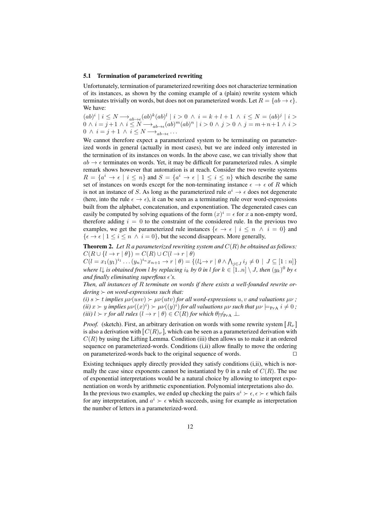#### 5.1 Termination of parameterized rewriting

Unfortunately, termination of parameterized rewriting does not characterize termination of its instances, as shown by the coming example of a (plain) rewrite system which terminates trivially on words, but does not on parameterized words. Let  $R = \{ab \rightarrow \epsilon\}$ . We have:

 $(ab)^i \mid i \leq N \longrightarrow_{ab \to \epsilon} (ab)^k (ab)^l \mid i > 0 \ \land \ i = k + l + 1 \ \land \ i \leq N = (ab)^j \mid i > 0$  $0 \wedge i = j + 1 \wedge i \leq N \longrightarrow_{ab \to \epsilon} (ab)^m (ab)^n \mid i > 0 \wedge j > 0 \wedge j = m + n + 1 \wedge i > 0$  $0 \wedge i = j + 1 \wedge i \leq N \longrightarrow_{ab \to \epsilon} \ldots$ 

We cannot therefore expect a parameterized system to be terminating on parameterized words in general (actually in most cases), but we are indeed only interested in the termination of its instances on words. In the above case, we can trivially show that  $ab \rightarrow \epsilon$  terminates on words. Yet, it may be difficult for parameterized rules. A simple remark shows however that automation is at reach. Consider the two rewrite systems  $R = \{a^i \to \epsilon \mid i \leq n\}$  and  $S = \{a^i \to \epsilon \mid 1 \leq i \leq n\}$  which describe the same set of instances on words except for the non-terminating instance  $\epsilon \to \epsilon$  of R which is not an instance of S. As long as the parameterized rule  $a^i \rightarrow \epsilon$  does not degenerate (here, into the rule  $\epsilon \to \epsilon$ ), it can be seen as a terminating rule over word-expressions built from the alphabet, concatenation, and exponentiation. The degenerated cases can easily be computed by solving equations of the form  $(x)^i = \epsilon$  for x a non-empty word, therefore adding  $i = 0$  to the constraint of the considered rule. In the previous two examples, we get the parameterized rule instances  $\{\epsilon \to \epsilon \mid i \leq n \land i = 0\}$  and  $\{\epsilon \to \epsilon \mid 1 \le i \le n \land i = 0\}$ , but the second disappears. More generally,

**Theorem 2.** Let  $R$  *a parameterized rewriting system and*  $C(R)$  *be obtained as follows:*  $C(R \cup \{l \to r \mid \theta\}) = C(R) \cup C(l \to r \mid \theta)$ 

 $C(l = x_1(y_1)^{i_1} \dots (y_n)^{i_n} x_{n+1} \to r | \theta) = \{ (l \to r | \theta \land \bigwedge_{j \in J} i_j \neq 0 | J \subseteq [1:n] \}$ *where*  $l\downarrow$  *is obtained from*  $l$  *by replacing*  $i_k$  *by 0 in*  $l$  *for*  $k \in [1..n] \setminus J$ *, then*  $(y_k)^0$  *by*  $\epsilon$ *and finally eliminating superflous*  $\epsilon$ *'s.* 

*Then, all instances of* R *terminate on words if there exists a well-founded rewrite ordering* ≻ *on word-expressions such that:*

 $(i)$  s  $\succ$  *t implies*  $\mu\nu(usv) \succ \mu\nu(utv)$  *for all word-expressions*  $u, v$  *and valuations*  $\mu\nu$ ;  $f(iii)$   $x > y$  implies  $\mu\nu((x)^i) > \mu\nu((y)^i)$  for all valuations  $\mu\nu$  such that  $\mu\nu \models_{\texttt{PrA}} i \neq 0$  ; *(iii)*  $l > r$  *for all rules*  $(l \rightarrow r | \theta) \in C(R)$  *for which*  $\theta \neq_{PrA} \bot$ *.* 

*Proof.* (sketch). First, an arbitrary derivation on words with some rewrite system  $\left[ R_{\nu} \right]$ is also a derivation with  $[C(R)_\nu]$ , which can be seen as a parameterized derivation with  $C(R)$  by using the Lifting Lemma. Condition (iii) then allows us to make it an ordered sequence on parameterized-words. Conditions (i,ii) allow finally to move the ordering on parameterized-words back to the original sequence of words. ⊓⊔

Existing techniques apply directly provided they satisfy conditions (i,ii), which is normally the case since exponents cannot be instantiated by 0 in a rule of  $C(R)$ . The use of exponential interpretations would be a natural choice by allowing to interpret exponentiation on words by arithmetic exponentiation. Polynomial interpretations also do.

In the previous two examples, we ended up checking the pairs  $a^i \succ \epsilon, \epsilon \succ \epsilon$  which fails for any interpretation, and  $a^i \succ \epsilon$  which succeeds, using for example as interpretation the number of letters in a parameterized-word.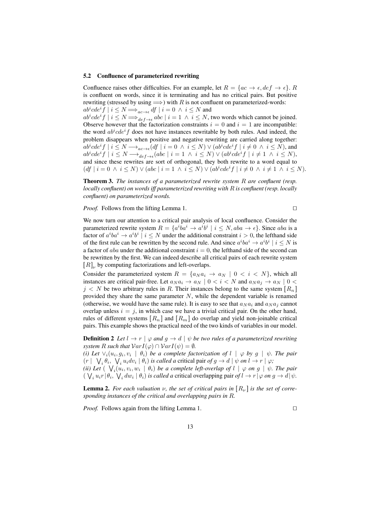#### 5.2 Confluence of parameterized rewriting

Confluence raises other difficulties. For an example, let  $R = \{ac \rightarrow \epsilon, def \rightarrow \epsilon\}$ . R is confluent on words, since it is terminating and has no critical pairs. But positive rewriting (stressed by using  $\Longrightarrow$ ) with R is not confluent on parameterized-words:  $ab^i cde^i f \mid i \leq N \Longrightarrow_{ac \to \epsilon} df \mid i = 0 \ \land \ i \leq N$  and  $ab^i cde^i f \mid i \leq N \Longrightarrow_{def \to \epsilon} abc \mid i = 1 \land i \leq N$ , two words which cannot be joined.

Observe however that the factorization constraints  $i = 0$  and  $i = 1$  are incompatible: the word  $ab^i cde^if$  does not have instances rewritable by both rules. And indeed, the problem disappears when positive and negative rewriting are carried along together:  $ab^i cde^i f \mid i \leq N \longrightarrow_{ac \rightarrow \epsilon} (df \mid i = 0 \ \land \ i \leq N) \vee (ab^i cde^i f \mid i \neq 0 \ \land \ i \leq N)$ , and  $ab^i cde^i f \mid i \leq N \longrightarrow_{def \to \epsilon} (abc \mid i = 1 \ \land \ i \leq N) \vee (ab^i cde^i f \mid i \neq 1 \ \land \ i \leq N),$ and since these rewrites are sort of orthogonal, they both rewrite to a word equal to  $(df \mid i = 0 \land i \leq N) \lor (abc \mid i = 1 \land i \leq N) \lor (ab^i cde^i f \mid i \neq 0 \land i \neq 1 \land i \leq N).$ 

Theorem 3. *The instances of a parameterized rewrite system* R *are confluent (resp. locally confluent) on words iff parameterized rewriting with* R *is confluent (resp. locally confluent) on parameterized words.*

*Proof.* Follows from the lifting Lemma 1. □

We now turn our attention to a critical pair analysis of local confluence. Consider the parameterized rewrite system  $R = \{a^i b a^i \rightarrow a^i b^i \mid i \leq N, aba \rightarrow \epsilon\}$ . Since aba is a factor of  $a^iba^i \rightarrow a^ib^i \mid i \leq N$  under the additional constraint  $i > 0$ , the lefthand side of the first rule can be rewritten by the second rule. And since  $a^i b a^i \rightarrow a^i b^i \mid i \le N$  is a factor of *aba* under the additional constraint  $i = 0$ , the lefthand side of the second can be rewritten by the first. We can indeed describe all critical pairs of each rewrite system  $[R]_{\nu}$  by computing factorizations and left-overlaps.

Consider the parameterized system  $R = \{a_N a_i \rightarrow a_N \mid 0 \lt i \lt N\}$ , which all instances are critical pair-free. Let  $a_N a_i \to a_N \mid 0 < i < N$  and  $a_N a_j \to a_N \mid 0 < j$  $j < N$  be two arbitrary rules in R. Their instances belong to the same system  $[R_n]$ provided they share the same parameter  $N$ , while the dependent variable is renamed (otherwise, we would have the same rule). It is easy to see that  $a_N a_i$  and  $a_N a_i$  cannot overlap unless  $i = j$ , in which case we have a trivial critical pair. On the other hand, rules of different systems  $[R_n]$  and  $[R_m]$  do overlap and yield non-joinable critical pairs. This example shows the practical need of the two kinds of variables in our model.

**Definition 2** Let  $l \to r \mid \varphi$  and  $q \to d \mid \psi$  be two rules of a parameterized rewriting *system R such that*  $VarI(\varphi) \cap VarI(\psi) = \emptyset$ *.* 

*(i)* Let  $\forall i$   $(u_i, g_i, v_i \mid \theta_i)$  be a complete factorization of  $l \mid \varphi$  by  $g \mid \psi$ . The pair  $(r \mid \nabla_i \theta_i, \nabla_i u_i dv_i \mid \theta_i)$  *is called a* critical pair *of*  $g \to d \mid \psi$  *on*  $l \to r \mid \varphi$ ;

(*ii*) Let  $(\forall_i (u_i, v_i, w_i \mid \theta_i)$  be a complete left-overlap of  $l \mid \varphi$  on  $g \mid \psi$ . The pair  $(\bigvee_i u_i r | \theta_i, \bigvee_i dw_i | \theta_i)$  *is called a* critical overlapping pair *of*  $l \rightarrow r | \varphi$  *on*  $g \rightarrow d | \psi$ *.* 

**Lemma 2.** For each valuation v, the set of critical pairs in  $[R_{\nu}]$  is the set of corre*sponding instances of the critical and overlapping pairs in* R*.*

*Proof.* Follows again from the lifting Lemma 1. □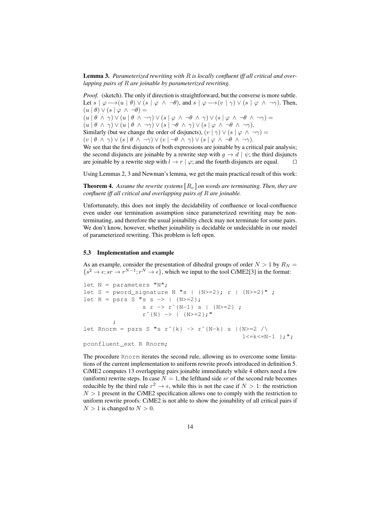Lemma 3. *Parameterized rewriting with* R *is locally confluent iff all critical and overlapping pairs of* R *are joinable by parameterized rewriting.*

*Proof.* (sketch). The only if direction is straightforward, but the converse is more subtle. Let  $s | \varphi \longrightarrow (u | \theta) \vee (s | \varphi \wedge \neg \theta)$ , and  $s | \varphi \longrightarrow (v | \gamma) \vee (s | \varphi \wedge \neg \gamma)$ . Then,  $(u | \theta) \vee (s | \varphi \wedge \neg \theta) =$  $(u | \theta \wedge \gamma) \vee (u | \theta \wedge \neg \gamma) \vee (s | \varphi \wedge \neg \theta \wedge \gamma) \vee (s | \varphi \wedge \neg \theta \wedge \neg \gamma) =$  $(u | \theta \wedge \gamma) \vee (u | \theta \wedge \neg \gamma) \vee (s | \neg \theta \wedge \gamma) \vee (s | \varphi \wedge \neg \theta \wedge \neg \gamma).$ Similarly (but we change the order of disjuncts),  $(v | \gamma) \vee (s | \varphi \wedge \neg \gamma) =$  $(v \mid \theta \land \gamma) \lor (s \mid \theta \land \neg \gamma) \lor (v \mid \neg \theta \land \gamma) \lor (s \mid \varphi \land \neg \theta \land \neg \gamma).$ We see that the first disjuncts of both expressions are joinable by a critical pair analysis;

the second disjuncts are joinable by a rewrite step with  $q \to d \mid \psi$ ; the third disjuncts are joinable by a rewrite step with  $l \rightarrow r | \varphi$ ; and the fourth disjuncts are equal. □

Using Lemmas 2, 3 and Newman's lemma, we get the main practical result of this work:

**Theorem 4.** Assume the rewrite systems  $[R_{\nu}]$  on words are terminating. Then, they are *confluent iff all critical and overlapping pairs of* R *are joinable.*

Unfortunately, this does not imply the decidability of confluence or local-confluence even under our termination assumption since parameterized rewriting may be nonterminating, and therefore the usual joinability check may not terminate for some pairs. We don't know, however, whether joinability is decidable or undecidable in our model of parameterized rewriting. This problem is left open.

#### 5.3 Implementation and example

As an example, consider the presentation of dihedral groups of order  $N > 1$  by  $R_N =$  $\{s^2 \to \epsilon; sr \to r^{N-1}; r^N \to \epsilon\}$ , which we input to the tool C*i*ME2[3] in the format:

```
let N = parameters "N";
let S = pword_signature N "s | {N>=2}; r | {N>=2}" ;
let R = p s r s S "s s -> | {N>=2};s r -> r^{N-1} s | {N>=2} ;
                 r^{\hat{ }}[N\} -> | {N>=2};"
        ;
let Rnorm = psrs S "s r^{k} -> r^{N-k} s |{N>=2 /\
                                               1 < = k < = N - 1 };";
```
pconfluent\_ext R Rnorm;

The procedure Rnorm iterates the second rule, allowing us to overcome some limitations of the current implementation to uniform rewrite proofs introduced in definition 5. C*i*ME2 computes 13 overlapping pairs joinable immediately while 4 others need a few (uniform) rewrite steps. In case  $N = 1$ , the lefthand side sr of the second rule becomes reducible by the third rule  $r^2 \to \epsilon$ , while this is not the case if  $N > 1$ : the restriction  $N > 1$  present in the CiME2 specification allows one to comply with the restriction to uniform rewrite proofs: C*i*ME2 is not able to show the joinability of all critical pairs if  $N > 1$  is changed to  $N > 0$ .